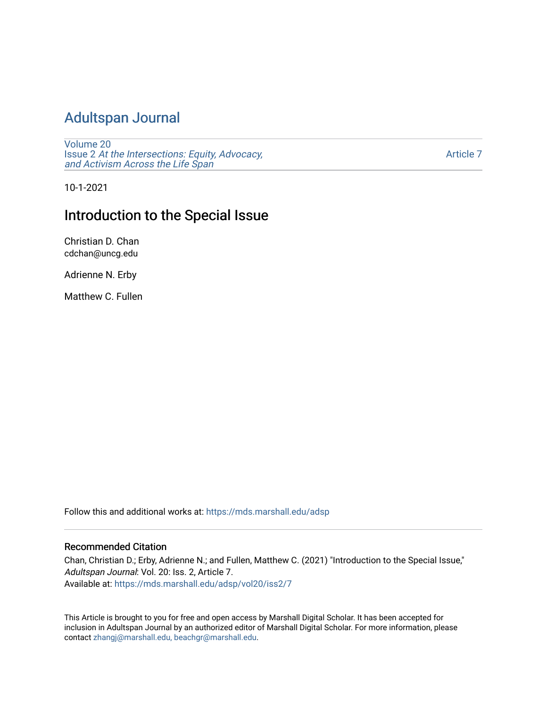# [Adultspan Journal](https://mds.marshall.edu/adsp)

[Volume 20](https://mds.marshall.edu/adsp/vol20) Issue 2 [At the Intersections: Equity, Advocacy,](https://mds.marshall.edu/adsp/vol20/iss2) [and Activism Across the Life Span](https://mds.marshall.edu/adsp/vol20/iss2) 

[Article 7](https://mds.marshall.edu/adsp/vol20/iss2/7) 

10-1-2021

## Introduction to the Special Issue

Christian D. Chan cdchan@uncg.edu

Adrienne N. Erby

Matthew C. Fullen

Follow this and additional works at: [https://mds.marshall.edu/adsp](https://mds.marshall.edu/adsp?utm_source=mds.marshall.edu%2Fadsp%2Fvol20%2Fiss2%2F7&utm_medium=PDF&utm_campaign=PDFCoverPages) 

### Recommended Citation

Chan, Christian D.; Erby, Adrienne N.; and Fullen, Matthew C. (2021) "Introduction to the Special Issue," Adultspan Journal: Vol. 20: Iss. 2, Article 7. Available at: [https://mds.marshall.edu/adsp/vol20/iss2/7](https://mds.marshall.edu/adsp/vol20/iss2/7?utm_source=mds.marshall.edu%2Fadsp%2Fvol20%2Fiss2%2F7&utm_medium=PDF&utm_campaign=PDFCoverPages) 

This Article is brought to you for free and open access by Marshall Digital Scholar. It has been accepted for inclusion in Adultspan Journal by an authorized editor of Marshall Digital Scholar. For more information, please contact [zhangj@marshall.edu, beachgr@marshall.edu](mailto:zhangj@marshall.edu,%20beachgr@marshall.edu).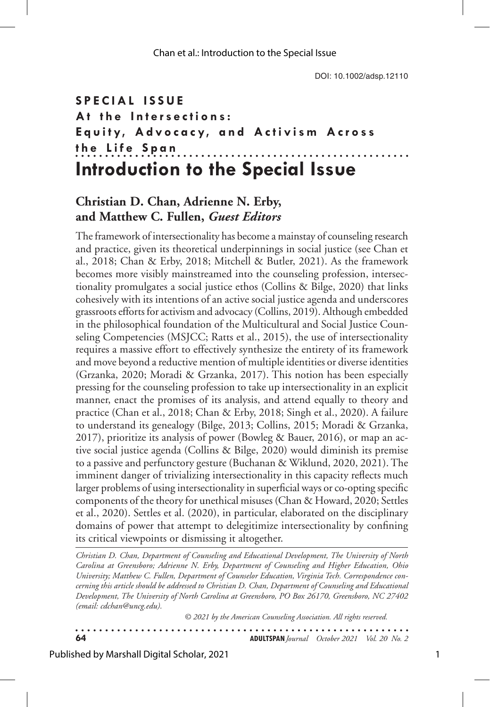### **SPECIAL ISSUE** A<sup>t</sup> the Intersections: **Equity, Advocacy, and Activism Across the Life Span** . . . . . . . . . . . . . . . . . . . . . **Introduction to the Special Issue**

## **Christian D. Chan, Adrienne N. Erby, and Matthew C. Fullen,** *Guest Editors*

The framework of intersectionality has become a mainstay of counseling research and practice, given its theoretical underpinnings in social justice (see Chan et al., 2018; Chan & Erby, 2018; Mitchell & Butler, 2021). As the framework becomes more visibly mainstreamed into the counseling profession, intersectionality promulgates a social justice ethos (Collins & Bilge, 2020) that links cohesively with its intentions of an active social justice agenda and underscores grassroots efforts for activism and advocacy (Collins, 2019). Although embedded in the philosophical foundation of the Multicultural and Social Justice Counseling Competencies (MSJCC; Ratts et al., 2015), the use of intersectionality requires a massive effort to effectively synthesize the entirety of its framework and move beyond a reductive mention of multiple identities or diverse identities (Grzanka, 2020; Moradi & Grzanka, 2017). This notion has been especially pressing for the counseling profession to take up intersectionality in an explicit manner, enact the promises of its analysis, and attend equally to theory and practice (Chan et al., 2018; Chan & Erby, 2018; Singh et al., 2020). A failure to understand its genealogy (Bilge, 2013; Collins, 2015; Moradi & Grzanka, 2017), prioritize its analysis of power (Bowleg & Bauer, 2016), or map an active social justice agenda (Collins & Bilge, 2020) would diminish its premise to a passive and perfunctory gesture (Buchanan & Wiklund, 2020, 2021). The imminent danger of trivializing intersectionality in this capacity reflects much larger problems of using intersectionality in superficial ways or co-opting specific components of the theory for unethical misuses (Chan & Howard, 2020; Settles et al., 2020). Settles et al. (2020), in particular, elaborated on the disciplinary domains of power that attempt to delegitimize intersectionality by confining its critical viewpoints or dismissing it altogether.

*Christian D. Chan, Department of Counseling and Educational Development, The University of North Carolina at Greensboro; Adrienne N. Erby, Department of Counseling and Higher Education, Ohio University; Matthew C. Fullen, Department of Counselor Education, Virginia Tech. Correspondence concerning this article should be addressed to Christian D. Chan, Department of Counseling and Educational Development, The University of North Carolina at Greensboro, PO Box 26170, Greensboro, NC 27402 (email: cdchan@uncg.edu).* 

*© 2021 by the American Counseling Association. All rights reserved.*

 $\begin{array}{cccccccccccccc} \bullet & \bullet & \bullet & \bullet & \bullet & \bullet & \bullet & \bullet & \bullet & \bullet & \bullet \end{array}$ **64 ADULTSPAN***Journal October 2021 Vol. 20 No. 2*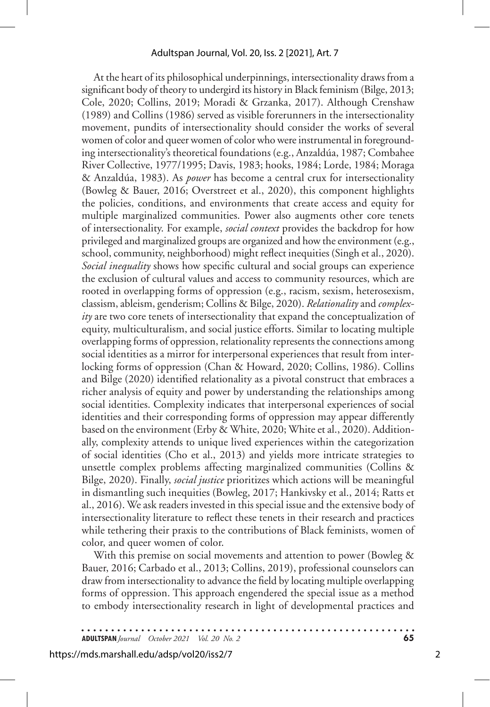At the heart of its philosophical underpinnings, intersectionality draws from a significant body of theory to undergird its history in Black feminism (Bilge, 2013; Cole, 2020; Collins, 2019; Moradi & Grzanka, 2017). Although Crenshaw (1989) and Collins (1986) served as visible forerunners in the intersectionality movement, pundits of intersectionality should consider the works of several women of color and queer women of color who were instrumental in foregrounding intersectionality's theoretical foundations (e.g., Anzaldúa, 1987; Combahee River Collective, 1977/1995; Davis, 1983; hooks, 1984; Lorde, 1984; Moraga & Anzaldúa, 1983). As *power* has become a central crux for intersectionality (Bowleg & Bauer, 2016; Overstreet et al., 2020), this component highlights the policies, conditions, and environments that create access and equity for multiple marginalized communities. Power also augments other core tenets of intersectionality. For example, *social context* provides the backdrop for how privileged and marginalized groups are organized and how the environment (e.g., school, community, neighborhood) might reflect inequities (Singh et al., 2020). *Social inequality* shows how specific cultural and social groups can experience the exclusion of cultural values and access to community resources, which are rooted in overlapping forms of oppression (e.g., racism, sexism, heterosexism, classism, ableism, genderism; Collins & Bilge, 2020). *Relationality* and *complexity* are two core tenets of intersectionality that expand the conceptualization of equity, multiculturalism, and social justice efforts. Similar to locating multiple overlapping forms of oppression, relationality represents the connections among social identities as a mirror for interpersonal experiences that result from interlocking forms of oppression (Chan & Howard, 2020; Collins, 1986). Collins and Bilge (2020) identified relationality as a pivotal construct that embraces a richer analysis of equity and power by understanding the relationships among social identities. Complexity indicates that interpersonal experiences of social identities and their corresponding forms of oppression may appear differently based on the environment (Erby & White, 2020; White et al., 2020). Additionally, complexity attends to unique lived experiences within the categorization of social identities (Cho et al., 2013) and yields more intricate strategies to unsettle complex problems affecting marginalized communities (Collins & Bilge, 2020). Finally, *social justice* prioritizes which actions will be meaningful in dismantling such inequities (Bowleg, 2017; Hankivsky et al., 2014; Ratts et al., 2016). We ask readers invested in this special issue and the extensive body of intersectionality literature to reflect these tenets in their research and practices while tethering their praxis to the contributions of Black feminists, women of color, and queer women of color.

With this premise on social movements and attention to power (Bowleg & Bauer, 2016; Carbado et al., 2013; Collins, 2019), professional counselors can draw from intersectionality to advance the field by locating multiple overlapping forms of oppression. This approach engendered the special issue as a method to embody intersectionality research in light of developmental practices and

**ADULTSPAN***Journal October 2021 Vol. 20 No. 2* **65**

2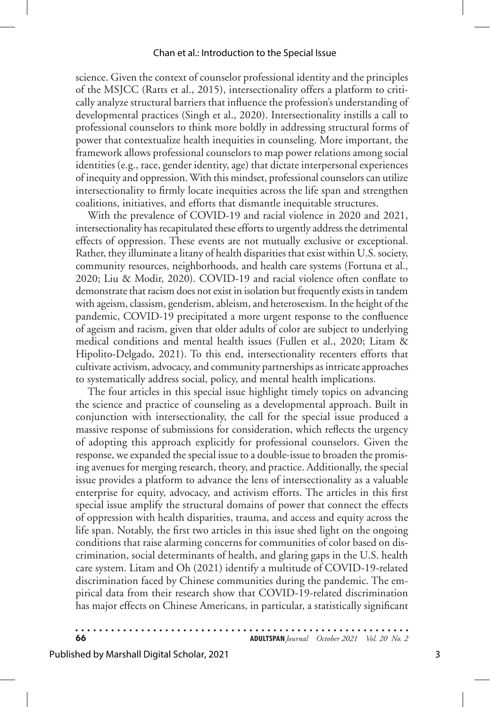#### Chan et al.: Introduction to the Special Issue

science. Given the context of counselor professional identity and the principles of the MSJCC (Ratts et al., 2015), intersectionality offers a platform to critically analyze structural barriers that influence the profession's understanding of developmental practices (Singh et al., 2020). Intersectionality instills a call to professional counselors to think more boldly in addressing structural forms of power that contextualize health inequities in counseling. More important, the framework allows professional counselors to map power relations among social identities (e.g., race, gender identity, age) that dictate interpersonal experiences of inequity and oppression. With this mindset, professional counselors can utilize intersectionality to firmly locate inequities across the life span and strengthen coalitions, initiatives, and efforts that dismantle inequitable structures.

With the prevalence of COVID-19 and racial violence in 2020 and 2021, intersectionality has recapitulated these efforts to urgently address the detrimental effects of oppression. These events are not mutually exclusive or exceptional. Rather, they illuminate a litany of health disparities that exist within U.S. society, community resources, neighborhoods, and health care systems (Fortuna et al., 2020; Liu & Modir, 2020). COVID-19 and racial violence often conflate to demonstrate that racism does not exist in isolation but frequently exists in tandem with ageism, classism, genderism, ableism, and heterosexism. In the height of the pandemic, COVID-19 precipitated a more urgent response to the confluence of ageism and racism, given that older adults of color are subject to underlying medical conditions and mental health issues (Fullen et al., 2020; Litam & Hipolito-Delgado, 2021). To this end, intersectionality recenters efforts that cultivate activism, advocacy, and community partnerships as intricate approaches to systematically address social, policy, and mental health implications.

The four articles in this special issue highlight timely topics on advancing the science and practice of counseling as a developmental approach. Built in conjunction with intersectionality, the call for the special issue produced a massive response of submissions for consideration, which reflects the urgency of adopting this approach explicitly for professional counselors. Given the response, we expanded the special issue to a double-issue to broaden the promising avenues for merging research, theory, and practice. Additionally, the special issue provides a platform to advance the lens of intersectionality as a valuable enterprise for equity, advocacy, and activism efforts. The articles in this first special issue amplify the structural domains of power that connect the effects of oppression with health disparities, trauma, and access and equity across the life span. Notably, the first two articles in this issue shed light on the ongoing conditions that raise alarming concerns for communities of color based on discrimination, social determinants of health, and glaring gaps in the U.S. health care system. Litam and Oh (2021) identify a multitude of COVID-19-related discrimination faced by Chinese communities during the pandemic. The empirical data from their research show that COVID-19-related discrimination has major effects on Chinese Americans, in particular, a statistically significant

**66 ADULTSPAN***Journal October 2021 Vol. 20 No. 2*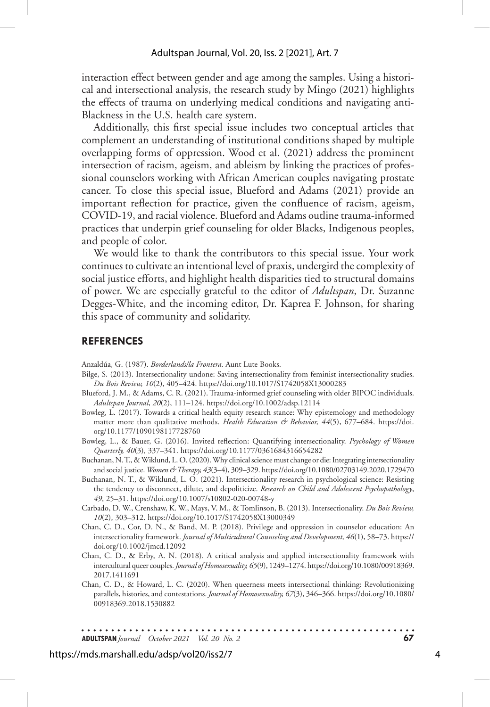interaction effect between gender and age among the samples. Using a historical and intersectional analysis, the research study by Mingo (2021) highlights the effects of trauma on underlying medical conditions and navigating anti-Blackness in the U.S. health care system.

Additionally, this first special issue includes two conceptual articles that complement an understanding of institutional conditions shaped by multiple overlapping forms of oppression. Wood et al. (2021) address the prominent intersection of racism, ageism, and ableism by linking the practices of professional counselors working with African American couples navigating prostate cancer. To close this special issue, Blueford and Adams (2021) provide an important reflection for practice, given the confluence of racism, ageism, COVID-19, and racial violence. Blueford and Adams outline trauma-informed practices that underpin grief counseling for older Blacks, Indigenous peoples, and people of color.

We would like to thank the contributors to this special issue. Your work continues to cultivate an intentional level of praxis, undergird the complexity of social justice efforts, and highlight health disparities tied to structural domains of power. We are especially grateful to the editor of *Adultspan*, Dr. Suzanne Degges-White, and the incoming editor, Dr. Kaprea F. Johnson, for sharing this space of community and solidarity.

#### **REFERENCES**

Anzaldúa, G. (1987). *Borderlands/la Frontera*. Aunt Lute Books.

- Bilge, S. (2013). Intersectionality undone: Saving intersectionality from feminist intersectionality studies. *Du Bois Review, 10*(2), 405–424. https://doi.org/10.1017/S1742058X13000283
- Blueford, J. M., & Adams, C. R. (2021). Trauma-informed grief counseling with older BIPOC individuals. *Adultspan Journal*, *20*(2), 111–124. https://doi.org/10.1002/adsp.12114
- Bowleg, L. (2017). Towards a critical health equity research stance: Why epistemology and methodology matter more than qualitative methods. *Health Education & Behavior*, 44(5), 677-684. https://doi. org/10.1177/1090198117728760
- Bowleg, L., & Bauer, G. (2016). Invited reflection: Quantifying intersectionality. *Psychology of Women Quarterly, 40*(3), 337–341. https://doi.org/10.1177/0361684316654282
- Buchanan, N. T., & Wiklund, L. O. (2020). Why clinical science must change or die: Integrating intersectionality and social justice. *Women & Therapy, 43*(3–4), 309–329. https://doi.org/10.1080/02703149.2020.1729470
- Buchanan, N. T., & Wiklund, L. O. (2021). Intersectionality research in psychological science: Resisting the tendency to disconnect, dilute, and depoliticize. *Research on Child and Adolescent Psychopathology*, *49*, 25–31. https://doi.org/10.1007/s10802-020-00748-y
- Carbado, D. W., Crenshaw, K. W., Mays, V. M., & Tomlinson, B. (2013). Intersectionality. *Du Bois Review, 10*(2), 303–312. https://doi.org/10.1017/S1742058X13000349
- Chan, C. D., Cor, D. N., & Band, M. P. (2018). Privilege and oppression in counselor education: An intersectionality framework. *Journal of Multicultural Counseling and Development, 46*(1), 58–73. https:// doi.org/10.1002/jmcd.12092
- Chan, C. D., & Erby, A. N. (2018). A critical analysis and applied intersectionality framework with intercultural queer couples. *Journal of Homosexuality, 65*(9), 1249–1274. https://doi.org/10.1080/00918369. 2017.1411691
- Chan, C. D., & Howard, L. C. (2020). When queerness meets intersectional thinking: Revolutionizing parallels, histories, and contestations. *Journal of Homosexuality, 67*(3), 346–366. https://doi.org/10.1080/ 00918369.2018.1530882

. . . . . . . . . . . . . . . . . . **ADULTSPAN***Journal October 2021 Vol. 20 No. 2* **67**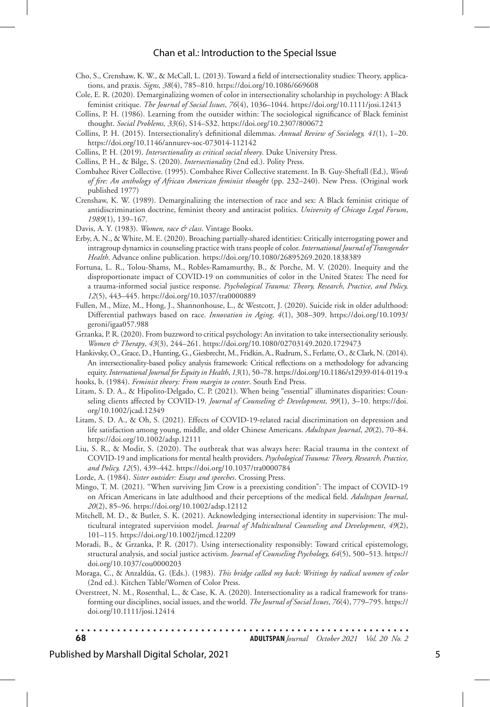#### Chan et al.: Introduction to the Special Issue

- Cho, S., Crenshaw, K. W., & McCall, L. (2013). Toward a field of intersectionality studies: Theory, applications, and praxis. *Signs, 38*(4), 785–810. https://doi.org/10.1086/669608
- Cole, E. R. (2020). Demarginalizing women of color in intersectionality scholarship in psychology: A Black feminist critique. *The Journal of Social Issues*, *76*(4), 1036–1044. https://doi.org/10.1111/josi.12413
- Collins, P. H. (1986). Learning from the outsider within: The sociological significance of Black feminist thought. *Social Problems, 33*(6), S14–S32. https://doi.org/10.2307/800672
- Collins, P. H. (2015). Intersectionality's definitional dilemmas. *Annual Review of Sociology, 41*(1), 1–20. https://doi.org/10.1146/annurev-soc-073014-112142
- Collins, P. H. (2019). *Intersectionality as critical social theory*. Duke University Press.
- Collins, P. H., & Bilge, S. (2020). *Intersectionality* (2nd ed.). Polity Press.
- Combahee River Collective. (1995). Combahee River Collective statement. In B. Guy-Sheftall (Ed.), *Words of fire: An anthology of African American feminist thought* (pp. 232–240). New Press. (Original work published 1977)
- Crenshaw, K. W. (1989). Demarginalizing the intersection of race and sex: A Black feminist critique of antidiscrimination doctrine, feminist theory and antiracist politics. *University of Chicago Legal Forum*, *1989*(1), 139–167.
- Davis, A. Y. (1983). *Women, race & class*. Vintage Books.
- Erby, A. N., & White, M. E. (2020). Broaching partially-shared identities: Critically interrogating power and intragroup dynamics in counseling practice with trans people of color. *International Journal of Transgender Health*. Advance online publication. https://doi.org/10.1080/26895269.2020.1838389
- Fortuna, L. R., Tolou-Shams, M., Robles-Ramamurthy, B., & Porche, M. V. (2020). Inequity and the disproportionate impact of COVID-19 on communities of color in the United States: The need for a trauma-informed social justice response. *Psychological Trauma: Theory, Research, Practice, and Policy, 12*(5), 443–445. https://doi.org/10.1037/tra0000889
- Fullen, M., Mize, M., Hong, J., Shannonhouse, L., & Westcott, J. (2020). Suicide risk in older adulthood: Differential pathways based on race. *Innovation in Aging, 4*(1), 308–309. https://doi.org/10.1093/ geroni/igaa057.988
- Grzanka, P. R. (2020). From buzzword to critical psychology: An invitation to take intersectionality seriously. *Women & Therapy*, *43*(3), 244–261. https://doi.org/10.1080/02703149.2020.1729473
- Hankivsky, O., Grace, D., Hunting, G., Giesbrecht, M., Fridkin, A., Rudrum, S., Ferlatte, O., & Clark, N. (2014). An intersectionality-based policy analysis framework: Critical reflections on a methodology for advancing equity. *International Journal for Equity in Health*, *13*(1), 50–78. https://doi.org/10.1186/s12939-014-0119-x
- hooks, b. (1984). *Feminist theory: From margin to center*. South End Press.
- Litam, S. D. A., & Hipolito-Delgado, C. P. (2021). When being "essential" illuminates disparities: Counseling clients affected by COVID-19. *Journal of Counseling & Development*, 99(1), 3-10. https://doi. org/10.1002/jcad.12349
- Litam, S. D. A., & Oh, S. (2021). Effects of COVID-19-related racial discrimination on depression and life satisfaction among young, middle, and older Chinese Americans. *Adultspan Journal*, *20*(2), 70–84. https://doi.org/10.1002/adsp.12111
- Liu, S. R., & Modir, S. (2020). The outbreak that was always here: Racial trauma in the context of COVID-19 and implications for mental health providers. *Psychological Trauma: Theory, Research, Practice, and Policy, 12*(5), 439–442. https://doi.org/10.1037/tra0000784
- Lorde, A. (1984). *Sister outsider: Essays and speeches*. Crossing Press.
- Mingo, T. M. (2021). "When surviving Jim Crow is a preexisting condition": The impact of COVID-19 on African Americans in late adulthood and their perceptions of the medical field. *Adultspan Journal*, *20*(2), 85–96. https://doi.org/10.1002/adsp.12112
- Mitchell, M. D., & Butler, S. K. (2021). Acknowledging intersectional identity in supervision: The multicultural integrated supervision model. *Journal of Multicultural Counseling and Development*, *49*(2), 101–115. https://doi.org/10.1002/jmcd.12209
- Moradi, B., & Grzanka, P. R. (2017). Using intersectionality responsibly: Toward critical epistemology, structural analysis, and social justice activism. *Journal of Counseling Psychology, 64*(5), 500–513. https:// doi.org/10.1037/cou0000203
- Moraga, C., & Anzaldúa, G. (Eds.). (1983). *This bridge called my back: Writings by radical women of color* (2nd ed.). Kitchen Table/Women of Color Press.
- Overstreet, N. M., Rosenthal, L., & Case, K. A. (2020). Intersectionality as a radical framework for transforming our disciplines, social issues, and the world. *The Journal of Social Issues*, *76*(4), 779–795. https:// doi.org/10.1111/josi.12414

**68 ADULTSPAN***Journal October 2021 Vol. 20 No. 2*

#### Published by Marshall Digital Scholar, 2021